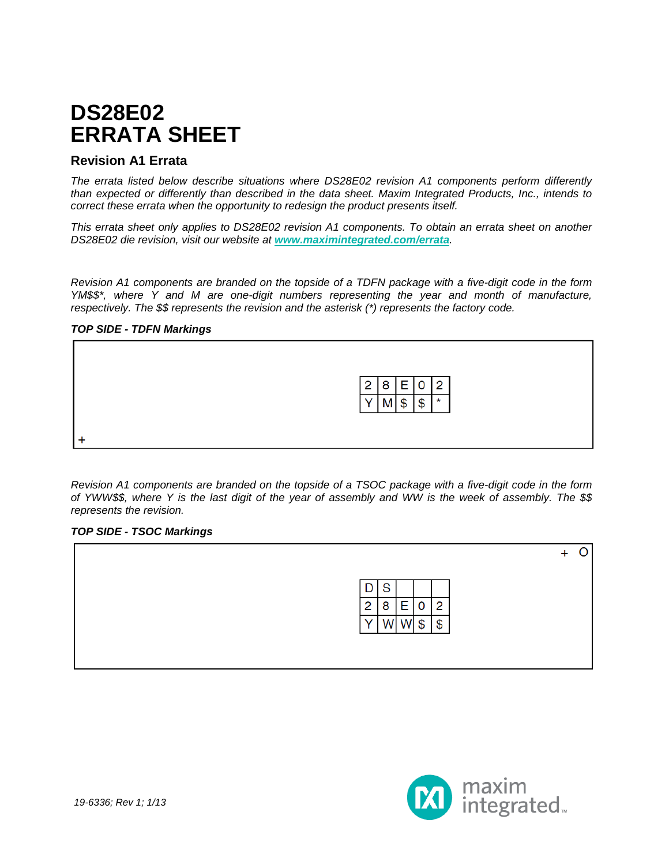## **DS28E02 ERRATA SHEET**

## **Revision A1 Errata**

*The errata listed below describe situations where DS28E02 revision A1 components perform differently than expected or differently than described in the data sheet. Maxim Integrated Products, Inc., intends to correct these errata when the opportunity to redesign the product presents itself.*

*This errata sheet only applies to DS28E02 revision A1 components. To obtain an errata sheet on another DS28E02 die revision, visit our website at [www.maximintegrated.com/errata](http://www.maximintegrated.com/errata).*

*Revision A1 components are branded on the topside of a TDFN package with a five-digit code in the form YM\$\$\*, where Y and M are one-digit numbers representing the year and month of manufacture, respectively. The \$\$ represents the revision and the asterisk (\*) represents the factory code.*

## *TOP SIDE - TDFN Markings*



*Revision A1 components are branded on the topside of a TSOC package with a five-digit code in the form of YWW\$\$, where Y is the last digit of the year of assembly and WW is the week of assembly. The \$\$ represents the revision.*

#### *TOP SIDE - TSOC Markings*



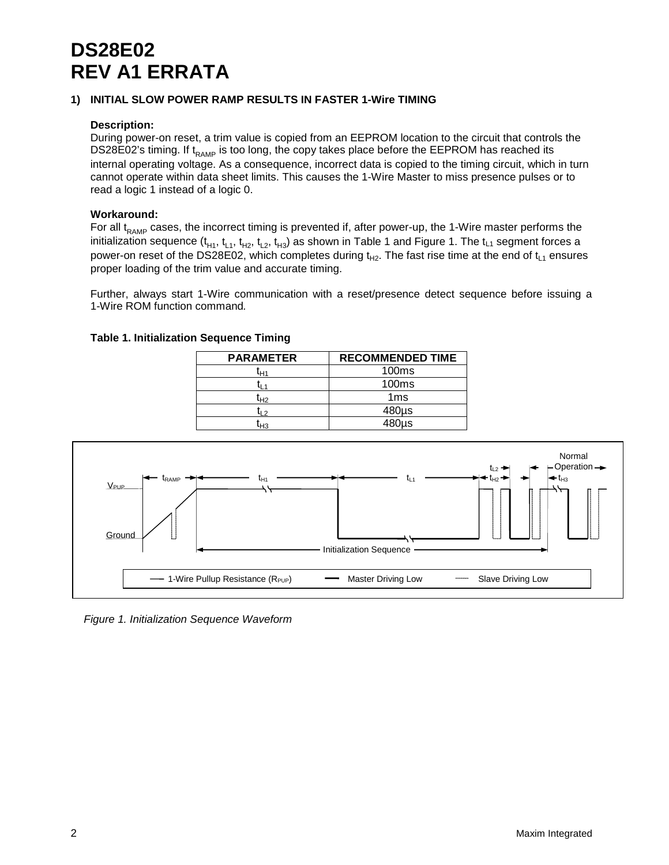# **DS28E02 REV A1 ERRATA**

## **1) INITIAL SLOW POWER RAMP RESULTS IN FASTER 1-Wire TIMING**

## **Description:**

During power-on reset, a trim value is copied from an EEPROM location to the circuit that controls the DS28E02's timing. If  $t_{RAMP}$  is too long, the copy takes place before the EEPROM has reached its internal operating voltage. As a consequence, incorrect data is copied to the timing circuit, which in turn cannot operate within data sheet limits. This causes the 1-Wire Master to miss presence pulses or to read a logic 1 instead of a logic 0.

## **Workaround:**

For all  $t_{RAMP}$  cases, the incorrect timing is prevented if, after power-up, the 1-Wire master performs the initialization sequence (t<sub>H1</sub>, t<sub>L1</sub>, t<sub>H2</sub>, t<sub>H3</sub>) as shown in Table 1 and Figure 1. The t<sub>L1</sub> segment forces a power-on reset of the DS28E02, which completes during  $t_{H2}$ . The fast rise time at the end of  $t_{L1}$  ensures proper loading of the trim value and accurate timing.

Further, always start 1-Wire communication with a reset/presence detect sequence before issuing a 1-Wire ROM function command*.*

| <b>PARAMETER</b> | <b>RECOMMENDED TIME</b> |
|------------------|-------------------------|
| ľн1              | 100 <sub>ms</sub>       |
|                  | 100 <sub>ms</sub>       |
| t <sub>H2</sub>  | 1 <sub>ms</sub>         |
| ر ۱              | $480\mu s$              |
| H <sub>3</sub>   | 480us                   |





*Figure 1. Initialization Sequence Waveform*